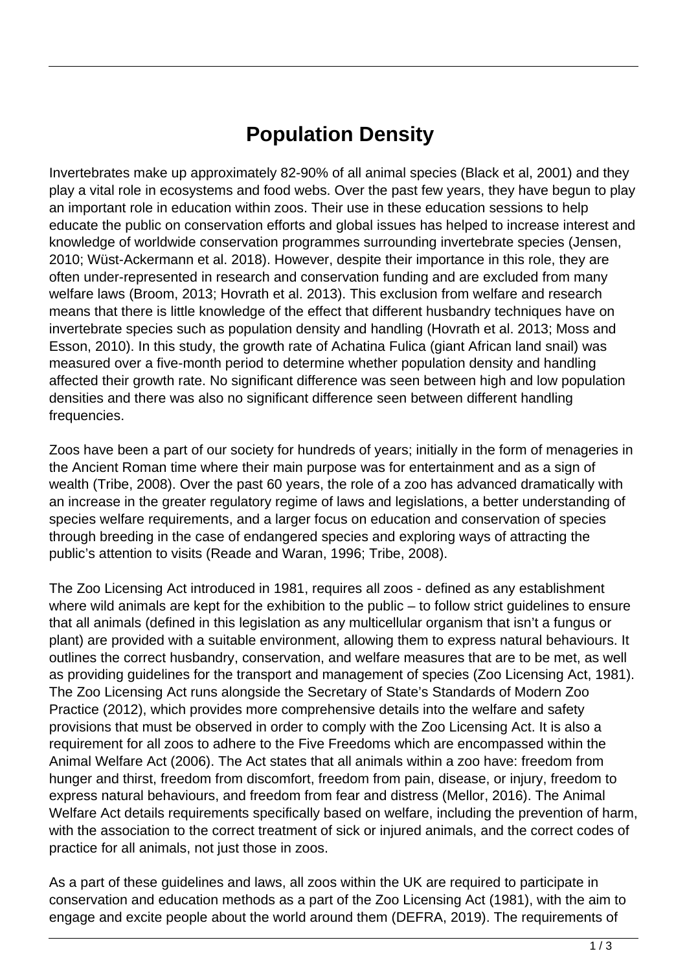## **Population Density**

Invertebrates make up approximately 82-90% of all animal species (Black et al, 2001) and they play a vital role in ecosystems and food webs. Over the past few years, they have begun to play an important role in education within zoos. Their use in these education sessions to help educate the public on conservation efforts and global issues has helped to increase interest and knowledge of worldwide conservation programmes surrounding invertebrate species (Jensen, 2010; Wüst-Ackermann et al. 2018). However, despite their importance in this role, they are often under-represented in research and conservation funding and are excluded from many welfare laws (Broom, 2013; Hovrath et al. 2013). This exclusion from welfare and research means that there is little knowledge of the effect that different husbandry techniques have on invertebrate species such as population density and handling (Hovrath et al. 2013; Moss and Esson, 2010). In this study, the growth rate of Achatina Fulica (giant African land snail) was measured over a five-month period to determine whether population density and handling affected their growth rate. No significant difference was seen between high and low population densities and there was also no significant difference seen between different handling frequencies.

Zoos have been a part of our society for hundreds of years; initially in the form of menageries in the Ancient Roman time where their main purpose was for entertainment and as a sign of wealth (Tribe, 2008). Over the past 60 years, the role of a zoo has advanced dramatically with an increase in the greater regulatory regime of laws and legislations, a better understanding of species welfare requirements, and a larger focus on education and conservation of species through breeding in the case of endangered species and exploring ways of attracting the public's attention to visits (Reade and Waran, 1996; Tribe, 2008).

The Zoo Licensing Act introduced in 1981, requires all zoos - defined as any establishment where wild animals are kept for the exhibition to the public – to follow strict guidelines to ensure that all animals (defined in this legislation as any multicellular organism that isn't a fungus or plant) are provided with a suitable environment, allowing them to express natural behaviours. It outlines the correct husbandry, conservation, and welfare measures that are to be met, as well as providing guidelines for the transport and management of species (Zoo Licensing Act, 1981). The Zoo Licensing Act runs alongside the Secretary of State's Standards of Modern Zoo Practice (2012), which provides more comprehensive details into the welfare and safety provisions that must be observed in order to comply with the Zoo Licensing Act. It is also a requirement for all zoos to adhere to the Five Freedoms which are encompassed within the Animal Welfare Act (2006). The Act states that all animals within a zoo have: freedom from hunger and thirst, freedom from discomfort, freedom from pain, disease, or injury, freedom to express natural behaviours, and freedom from fear and distress (Mellor, 2016). The Animal Welfare Act details requirements specifically based on welfare, including the prevention of harm, with the association to the correct treatment of sick or injured animals, and the correct codes of practice for all animals, not just those in zoos.

As a part of these guidelines and laws, all zoos within the UK are required to participate in conservation and education methods as a part of the Zoo Licensing Act (1981), with the aim to engage and excite people about the world around them (DEFRA, 2019). The requirements of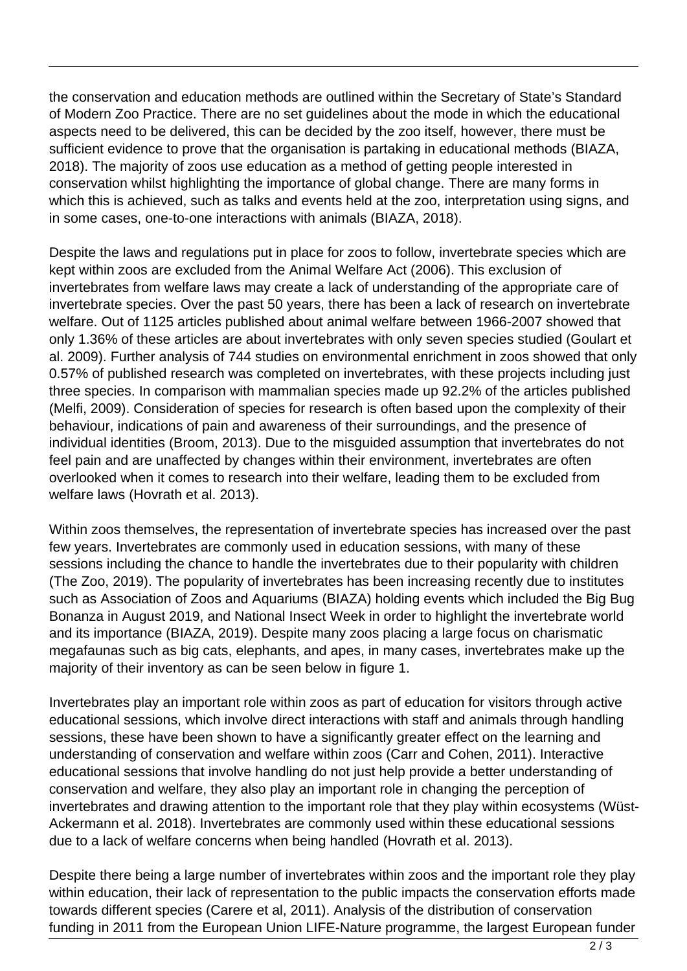the conservation and education methods are outlined within the Secretary of State's Standard of Modern Zoo Practice. There are no set guidelines about the mode in which the educational aspects need to be delivered, this can be decided by the zoo itself, however, there must be sufficient evidence to prove that the organisation is partaking in educational methods (BIAZA, 2018). The majority of zoos use education as a method of getting people interested in conservation whilst highlighting the importance of global change. There are many forms in which this is achieved, such as talks and events held at the zoo, interpretation using signs, and in some cases, one-to-one interactions with animals (BIAZA, 2018).

Despite the laws and regulations put in place for zoos to follow, invertebrate species which are kept within zoos are excluded from the Animal Welfare Act (2006). This exclusion of invertebrates from welfare laws may create a lack of understanding of the appropriate care of invertebrate species. Over the past 50 years, there has been a lack of research on invertebrate welfare. Out of 1125 articles published about animal welfare between 1966-2007 showed that only 1.36% of these articles are about invertebrates with only seven species studied (Goulart et al. 2009). Further analysis of 744 studies on environmental enrichment in zoos showed that only 0.57% of published research was completed on invertebrates, with these projects including just three species. In comparison with mammalian species made up 92.2% of the articles published (Melfi, 2009). Consideration of species for research is often based upon the complexity of their behaviour, indications of pain and awareness of their surroundings, and the presence of individual identities (Broom, 2013). Due to the misguided assumption that invertebrates do not feel pain and are unaffected by changes within their environment, invertebrates are often overlooked when it comes to research into their welfare, leading them to be excluded from welfare laws (Hovrath et al. 2013).

Within zoos themselves, the representation of invertebrate species has increased over the past few years. Invertebrates are commonly used in education sessions, with many of these sessions including the chance to handle the invertebrates due to their popularity with children (The Zoo, 2019). The popularity of invertebrates has been increasing recently due to institutes such as Association of Zoos and Aquariums (BIAZA) holding events which included the Big Bug Bonanza in August 2019, and National Insect Week in order to highlight the invertebrate world and its importance (BIAZA, 2019). Despite many zoos placing a large focus on charismatic megafaunas such as big cats, elephants, and apes, in many cases, invertebrates make up the majority of their inventory as can be seen below in figure 1.

Invertebrates play an important role within zoos as part of education for visitors through active educational sessions, which involve direct interactions with staff and animals through handling sessions, these have been shown to have a significantly greater effect on the learning and understanding of conservation and welfare within zoos (Carr and Cohen, 2011). Interactive educational sessions that involve handling do not just help provide a better understanding of conservation and welfare, they also play an important role in changing the perception of invertebrates and drawing attention to the important role that they play within ecosystems (Wüst-Ackermann et al. 2018). Invertebrates are commonly used within these educational sessions due to a lack of welfare concerns when being handled (Hovrath et al. 2013).

Despite there being a large number of invertebrates within zoos and the important role they play within education, their lack of representation to the public impacts the conservation efforts made towards different species (Carere et al, 2011). Analysis of the distribution of conservation funding in 2011 from the European Union LIFE-Nature programme, the largest European funder